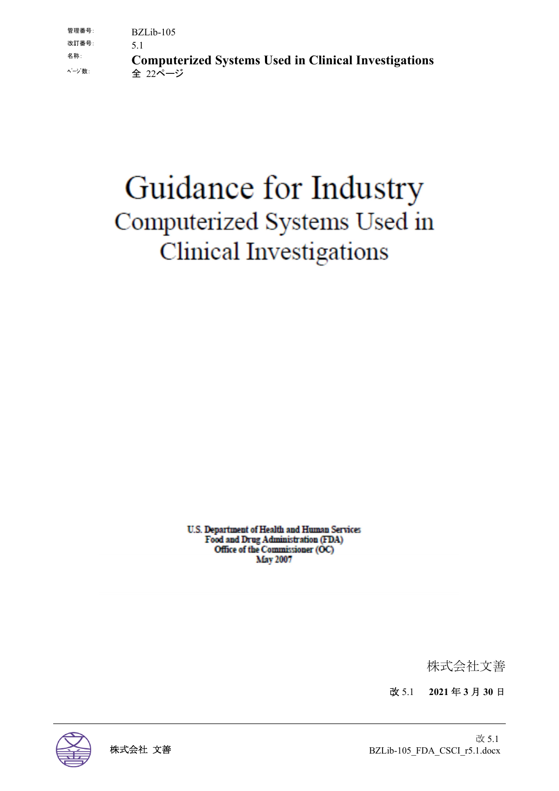# Guidance for Industry Computerized Systems Used in **Clinical Investigations**

U.S. Department of Health and Human Services Food and Drug Administration (FDA) Office of the Commissioner (OC) **May 2007** 

株式会社文善

改 5.1 **2021** 年 **3** 月 **30** 日

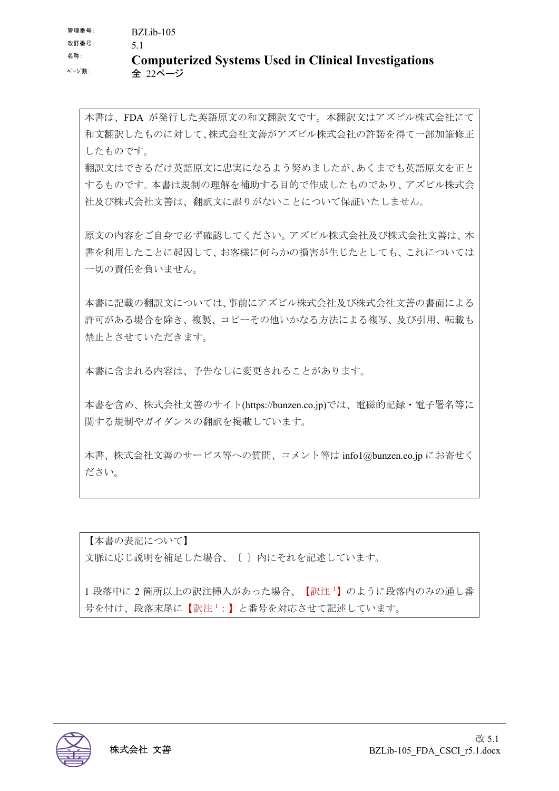本書は、FDA が発行した英語原文の和文翻訳文です。本翻訳文はアズビル株式会社にて 和文翻訳したものに対して、株式会社文善がアズビル株式会社の許諾を得て一部加筆修正 したものです。

翻訳文はできるだけ英語原文に忠実になるよう努めましたが、あくまでも英語原文を正と するものです。本書は規制の理解を補助する目的で作成したものであり、アズビル株式会 社及び株式会社文善は、翻訳文に誤りがないことについて保証いたしません。

原文の内容をご自身で必ず確認してください。アズビル株式会社及び株式会社文善は、本 書を利用したことに起因して、お客様に何らかの損害が生じたとしても、これについては 一切の責任を負いません。

本書に記載の翻訳文については、事前にアズビル株式会社及び株式会社文善の書面による 許可がある場合を除き、複製、コピーその他いかなる方法による複写、及び引用、転載も 禁止とさせていただきます。

本書に含まれる内容は、予告なしに変更されることがあります。

本書を含め、株式会社文善のサイト(https://bunzen.co.jp)では、電磁的記録・電子署名等に 関する規制やガイダンスの翻訳を掲載しています。

本書、株式会社文善のサービス等への質問、コメント等は info1@bunzen.co.jp にお寄せく ださい。

【本書の表記について】 文脈に応じ説明を補足した場合、〔 〕内にそれを記述しています。

1段落中に2箇所以上の訳注挿入があった場合、【訳注1】のように段落内のみの通し番 号を付け、段落末尾に【訳注1:】と番号を対応させて記述しています。

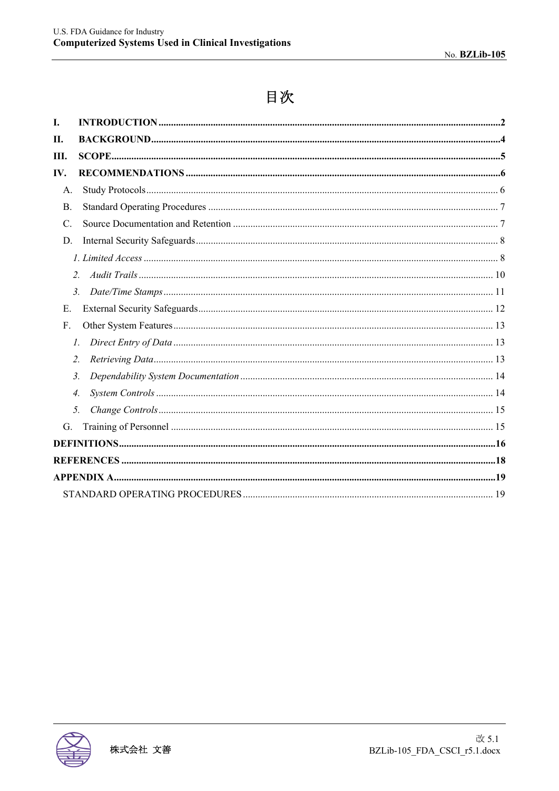# 目次

| I.               |                |  |
|------------------|----------------|--|
| П.               |                |  |
| III.             |                |  |
| IV.              |                |  |
| A.               |                |  |
| <b>B.</b>        |                |  |
| $\mathcal{C}$ .  |                |  |
| D.               |                |  |
|                  |                |  |
| $\overline{2}$ . |                |  |
|                  | 3 <sub>1</sub> |  |
| Е.               |                |  |
| F.               |                |  |
|                  | 1.             |  |
| 2.               |                |  |
| 3.               |                |  |
| 4.               |                |  |
| 5.               |                |  |
| G.               |                |  |
|                  |                |  |
|                  |                |  |
|                  |                |  |
|                  |                |  |
|                  |                |  |

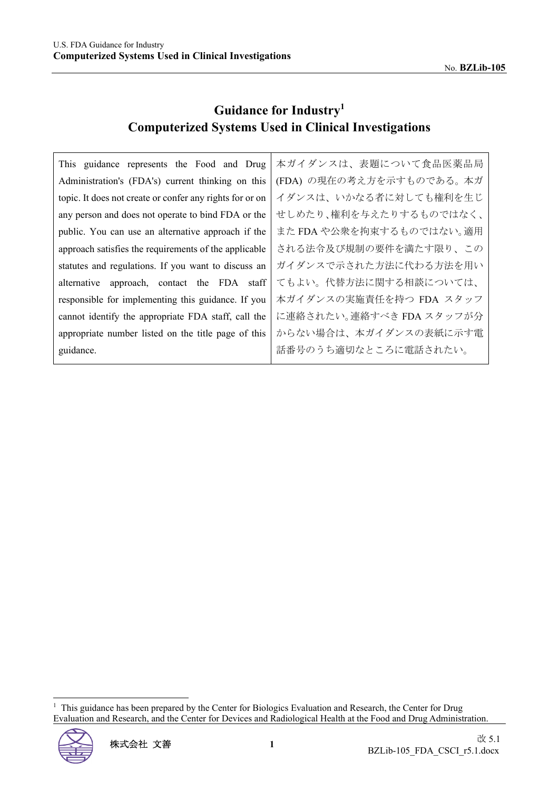# **Guidance for Industry<sup>1</sup> Computerized Systems Used in Clinical Investigations**

This guidance represents the Food and Drug Administration's (FDA's) current thinking on this topic. It does not create or confer any rights for or on any person and does not operate to bind FDA or the public. You can use an alternative approach if the approach satisfies the requirements of the applicable statutes and regulations. If you want to discuss an alternative approach, contact the FDA staff responsible for implementing this guidance. If you cannot identify the appropriate FDA staff, call the appropriate number listed on the title page of this guidance.

本ガイダンスは、表題について食品医薬品局 (FDA) の現在の考え方を示すものである。本ガ イダンスは、いかなる者に対しても権利を生じ せしめたり、権利を与えたりするものではなく、 また FDA や公衆を拘束するものではない。適用 される法令及び規制の要件を満たす限り、この ガイダンスで示された方法に代わる方法を用い てもよい。代替方法に関する相談については、 本ガイダンスの実施責任を持つ FDA スタッフ に連絡されたい。連絡すべき FDA スタッフが分 からない場合は、本ガイダンスの表紙に示す電 話番号のうち適切なところに電話されたい。

<sup>1</sup> This guidance has been prepared by the Center for Biologics Evaluation and Research, the Center for Drug Evaluation and Research, and the Center for Devices and Radiological Health at the Food and Drug Administration.

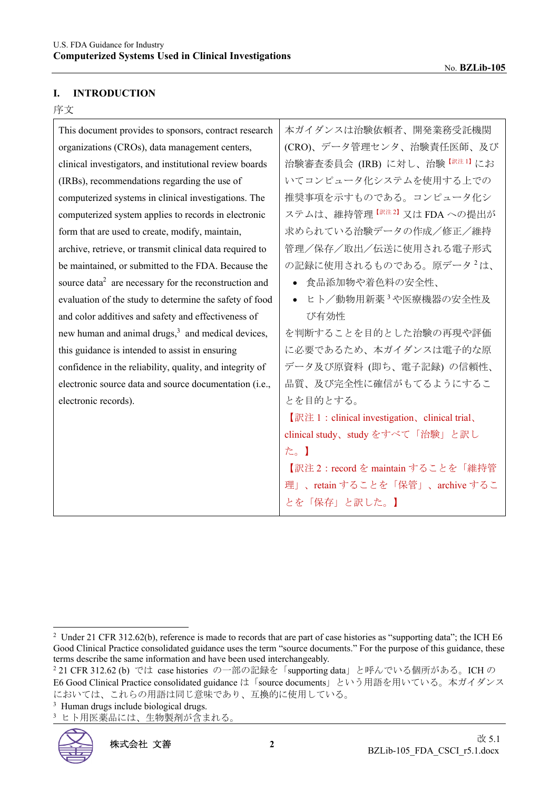#### **I. INTRODUCTION**

#### 序文

| This document provides to sponsors, contract research             | 本ガイダンスは治験依頼者、開発業務受託機関                              |
|-------------------------------------------------------------------|----------------------------------------------------|
| organizations (CROs), data management centers,                    | (CRO)、データ管理センタ、治験責任医師、及び                           |
| clinical investigators, and institutional review boards           | 治験審査委員会 (IRB) に対し、治験 <sup>【訳注1】</sup> にお           |
| (IRBs), recommendations regarding the use of                      | いてコンピュータ化システムを使用する上での                              |
| computerized systems in clinical investigations. The              | 推奨事項を示すものである。コンピュータ化シ                              |
| computerized system applies to records in electronic              | ステムは、維持管理 <sup>【訳注2】</sup> 又はFDAへの提出が              |
| form that are used to create, modify, maintain,                   | 求められている治験データの作成/修正/維持                              |
| archive, retrieve, or transmit clinical data required to          | 管理/保存/取出/伝送に使用される電子形式                              |
| be maintained, or submitted to the FDA. Because the               | の記録に使用されるものである。原データ <sup>2</sup> は、                |
| source data <sup>2</sup> are necessary for the reconstruction and | 食品添加物や着色料の安全性、                                     |
| evaluation of the study to determine the safety of food           | ● ヒト/動物用新薬 <sup>3</sup> や医療機器の安全性及                 |
| and color additives and safety and effectiveness of               | び有効性                                               |
| new human and animal drugs, <sup>3</sup> and medical devices,     | を判断することを目的とした治験の再現や評価                              |
| this guidance is intended to assist in ensuring                   | に必要であるため、本ガイダンスは電子的な原                              |
| confidence in the reliability, quality, and integrity of          | データ及び原資料 (即ち、電子記録) の信頼性、                           |
| electronic source data and source documentation (i.e.,            | 品質、及び完全性に確信がもてるようにするこ                              |
| electronic records).                                              | とを目的とする。                                           |
|                                                                   | $[$ 訳注 1 : clinical investigation, clinical trial, |
|                                                                   | clinical study、study をすべて「治験」と訳し                   |
|                                                                   | た。                                                 |
|                                                                   | 【訳注2: record を maintain することを「維持管                  |
|                                                                   | 理」、retain することを「保管」、archive するこ                    |
|                                                                   | とを「保存」と訳した。】                                       |
|                                                                   |                                                    |

<sup>3</sup> ヒト用医薬品には、生物製剤が含まれる。



<sup>&</sup>lt;sup>2</sup> Under 21 CFR 312.62(b), reference is made to records that are part of case histories as "supporting data"; the ICH E6 Good Clinical Practice consolidated guidance uses the term "source documents." For the purpose of this guidance, these terms describe the same information and have been used interchangeably.

<sup>&</sup>lt;sup>2</sup>21 CFR 312.62 (b) では case histories の一部の記録を「supporting data」と呼んでいる個所がある。ICH の E6 Good Clinical Practice consolidated guidance は「source documents」という用語を用いている。本ガイダンス においては、これらの用語は同じ意味であり、互換的に使用している。

<sup>&</sup>lt;sup>3</sup> Human drugs include biological drugs.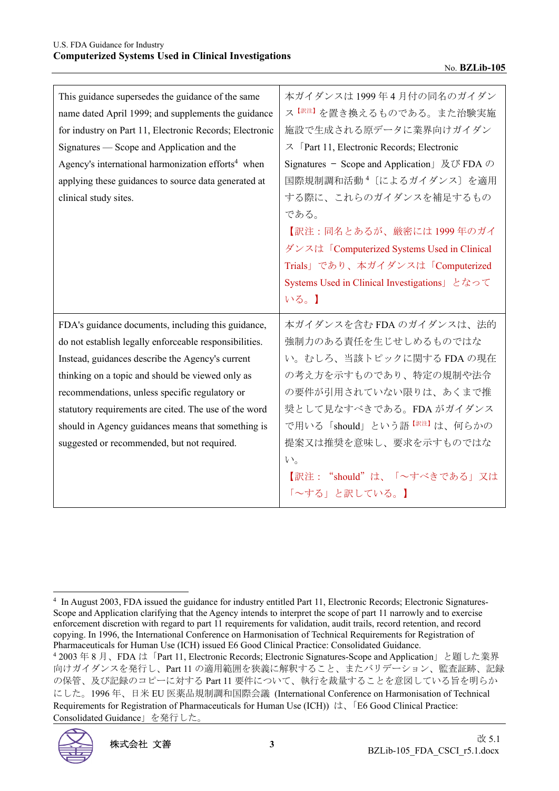| This guidance supersedes the guidance of the same<br>name dated April 1999; and supplements the guidance<br>for industry on Part 11, Electronic Records; Electronic<br>Signatures — Scope and Application and the<br>Agency's international harmonization efforts <sup>4</sup> when<br>applying these guidances to source data generated at<br>clinical study sites.                                                                 | 本ガイダンスは1999年4月付の同名のガイダン<br>ス <sup>【訳注】</sup> を置き換えるものである。また治験実施<br>施設で生成される原データに業界向けガイダン<br>$\lambda$ [Part 11, Electronic Records; Electronic<br>Signatures - Scope and Application $\&$ UN FDA $\oslash$<br>国際規制調和活動 <sup>4</sup> 〔によるガイダンス〕を適用<br>する際に、これらのガイダンスを補足するもの<br>である。<br>【訳注:同名とあるが、厳密には1999年のガイ<br>ダンスは「Computerized Systems Used in Clinical<br>Trials」であり、本ガイダンスは「Computerized<br>Systems Used in Clinical Investigations」となって<br>いる。】 |
|--------------------------------------------------------------------------------------------------------------------------------------------------------------------------------------------------------------------------------------------------------------------------------------------------------------------------------------------------------------------------------------------------------------------------------------|--------------------------------------------------------------------------------------------------------------------------------------------------------------------------------------------------------------------------------------------------------------------------------------------------------------------------------------------------------------------------------------------------------------------------------------------------------|
| FDA's guidance documents, including this guidance,<br>do not establish legally enforceable responsibilities.<br>Instead, guidances describe the Agency's current<br>thinking on a topic and should be viewed only as<br>recommendations, unless specific regulatory or<br>statutory requirements are cited. The use of the word<br>should in Agency guidances means that something is<br>suggested or recommended, but not required. | 本ガイダンスを含む FDA のガイダンスは、法的<br>強制力のある責任を生じせしめるものではな<br>い。むしろ、当該トピックに関する FDA の現在<br>の考え方を示すものであり、特定の規制や法令<br>の要件が引用されていない限りは、あくまで推<br>奨として見なすべきである。FDA がガイダンス<br>で用いる「should」という語 <sup>【訳注】</sup> は、何らかの<br>提案又は推奨を意味し、要求を示すものではな<br>$V_{0}$<br>【訳注: "should"は、「~すべきである」又は<br>「~する」と訳している。】                                                                                                                                                                |

 <sup>2003</sup> 年 8 月、FDA は「Part 11, Electronic Records; Electronic Signatures-Scope and Application」と題した業界 向けガイダンスを発行し、Part 11 の適用範囲を狭義に解釈すること、またバリデーション、監査証跡、記録 の保管、及び記録のコピーに対する Part 11 要件について、執行を裁量することを意図している旨を明らか にした。1996 年、日米 EU 医薬品規制調和国際会議 (International Conference on Harmonisation of Technical Requirements for Registration of Pharmaceuticals for Human Use (ICH)) は、「E6 Good Clinical Practice: Consolidated Guidance」を発行した。



<sup>&</sup>lt;sup>4</sup> In August 2003, FDA issued the guidance for industry entitled Part 11, Electronic Records; Electronic Signatures-Scope and Application clarifying that the Agency intends to interpret the scope of part 11 narrowly and to exercise enforcement discretion with regard to part 11 requirements for validation, audit trails, record retention, and record copying. In 1996, the International Conference on Harmonisation of Technical Requirements for Registration of Pharmaceuticals for Human Use (ICH) issued E6 Good Clinical Practice: Consolidated Guidance. 4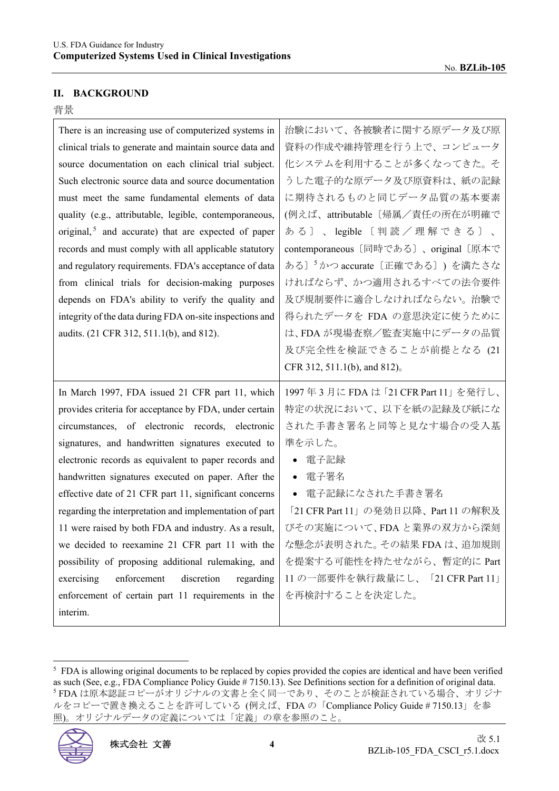#### **II. BACKGROUND**

#### 背景

| There is an increasing use of computerized systems in           | 治験において、各被験者に関する原データ及び原                      |
|-----------------------------------------------------------------|---------------------------------------------|
| clinical trials to generate and maintain source data and        | 資料の作成や維持管理を行う上で、コンピュータ                      |
| source documentation on each clinical trial subject.            | 化システムを利用することが多くなってきた。そ                      |
| Such electronic source data and source documentation            | うした電子的な原データ及び原資料は、紙の記録                      |
| must meet the same fundamental elements of data                 | に期待されるものと同じデータ品質の基本要素                       |
| quality (e.g., attributable, legible, contemporaneous,          | (例えば、attributable〔帰属/責任の所在が明確で              |
| original, <sup>5</sup> and accurate) that are expected of paper | ある〕、legible〔判読/理解できる〕、                      |
| records and must comply with all applicable statutory           | contemporaneous [同時である]、original [原本で       |
| and regulatory requirements. FDA's acceptance of data           | ある〕 <sup>5</sup> かつ accurate 〔正確である〕) を満たさな |
| from clinical trials for decision-making purposes               | ければならず、かつ適用されるすべての法令要件                      |
| depends on FDA's ability to verify the quality and              | 及び規制要件に適合しなければならない。治験で                      |
| integrity of the data during FDA on-site inspections and        | 得られたデータを FDA の意思決定に使うために                    |
| audits. (21 CFR 312, 511.1(b), and 812).                        | は、FDA が現場査察/監査実施中にデータの品質                    |
|                                                                 | 及び完全性を検証できることが前提となる (21                     |
|                                                                 |                                             |
|                                                                 | CFR 312, 511.1(b), and 812).                |
| In March 1997, FDA issued 21 CFR part 11, which                 | 1997年3月にFDAは「21 CFR Part 11」を発行し、           |
| provides criteria for acceptance by FDA, under certain          | 特定の状況において、以下を紙の記録及び紙にな                      |
| circumstances, of electronic records, electronic                | された手書き署名と同等と見なす場合の受入基                       |
| signatures, and handwritten signatures executed to              | 準を示した。                                      |
| electronic records as equivalent to paper records and           | 電子記録                                        |
| handwritten signatures executed on paper. After the             | • 電子署名                                      |
| effective date of 21 CFR part 11, significant concerns          | ● 電子記録になされた手書き署名                            |
| regarding the interpretation and implementation of part         | 「21 CFR Part 11」の発効日以降、Part 11 の解釈及         |
| 11 were raised by both FDA and industry. As a result,           | びその実施について、FDA と業界の双方から深刻                    |
| we decided to reexamine 21 CFR part 11 with the                 | な懸念が表明された。その結果 FDA は、追加規則                   |
| possibility of proposing additional rulemaking, and             | を提案する可能性を持たせながら、暫定的に Part                   |
| enforcement<br>discretion<br>exercising<br>regarding            | 11の一部要件を執行裁量にし、「21 CFR Part 11」             |
| enforcement of certain part 11 requirements in the              | を再検討することを決定した。                              |

 $<sup>5</sup>$  FDA is allowing original documents to be replaced by copies provided the copies are identical and have been verified</sup> as such (See, e.g., FDA Compliance Policy Guide # 7150.13). See Definitions section for a definition of original data. 5 FDA は原本認証コピーがオリジナルの文書と全く同一であり、そのことが検証されている場合、オリジナ ルをコピーで置き換えることを許可している (例えば、FDA の「Compliance Policy Guide # 7150.13」を参 照)。オリジナルデータの定義については「定義」の章を参照のこと。

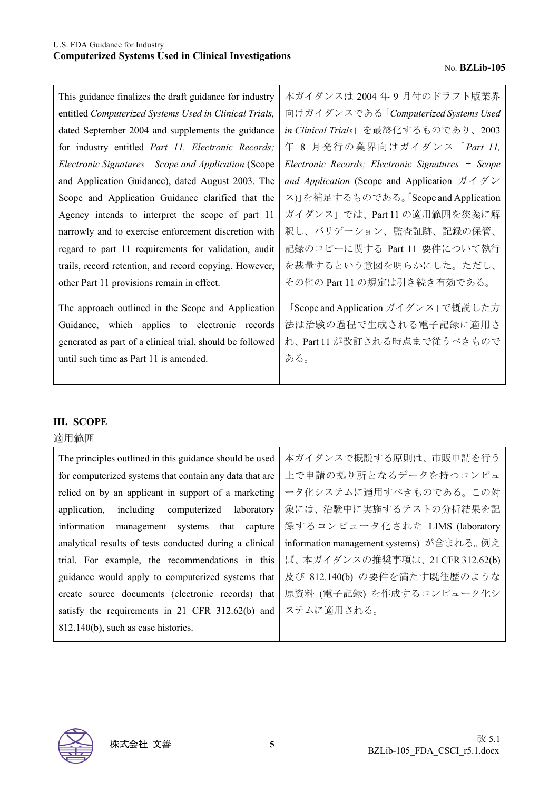| This guidance finalizes the draft guidance for industry            | 本ガイダンスは 2004 年 9 月付のドラフト版業界                                      |
|--------------------------------------------------------------------|------------------------------------------------------------------|
| entitled Computerized Systems Used in Clinical Trials,             | 向けガイダンスである「Computerized Systems Used                             |
| dated September 2004 and supplements the guidance                  | in Clinical Trials」を最終化するものであり、2003                              |
| for industry entitled <i>Part 11</i> , <i>Electronic Records</i> ; | 年 8 月発行の業界向けガイダンス「Part 11,                                       |
| Electronic Signatures – Scope and Application (Scope               | Electronic Records; Electronic Signatures - Scope                |
| and Application Guidance), dated August 2003. The                  | and Application (Scope and Application $\forall \forall \forall$ |
| Scope and Application Guidance clarified that the                  | ス)」を補足するものである。「Scope and Application                             |
| Agency intends to interpret the scope of part 11                   | ガイダンス」では、Part11の適用範囲を狭義に解                                        |
| narrowly and to exercise enforcement discretion with               | 釈し、バリデーション、監査証跡、記録の保管、                                           |
| regard to part 11 requirements for validation, audit               | 記録のコピーに関する Part 11 要件について執行                                      |
| trails, record retention, and record copying. However,             | を裁量するという意図を明らかにした。ただし、                                           |
| other Part 11 provisions remain in effect.                         | その他の Part 11 の規定は引き続き有効である。                                      |
| The approach outlined in the Scope and Application                 | 「Scope and Application ガイダンス」で概説した方                              |
| Guidance, which applies to electronic records                      | 法は治験の過程で生成される電子記録に適用さ                                            |
| generated as part of a clinical trial, should be followed          | れ、Part 11 が改訂される時点まで従うべきもので                                      |
| until such time as Part 11 is amended.                             | ある。                                                              |
|                                                                    |                                                                  |

#### **III. SCOPE**

# 適用範囲

| The principles outlined in this guidance should be used | 本ガイダンスで概説する原則は、市販申請を行う                    |
|---------------------------------------------------------|-------------------------------------------|
| for computerized systems that contain any data that are | 上で申請の拠り所となるデータを持つコンピュ                     |
| relied on by an applicant in support of a marketing     | ータ化システムに適用すべきものである。この対                    |
| including computerized laboratory<br>application,       | 象には、治験中に実施するテストの分析結果を記                    |
| management systems that capture<br>information          | 録するコンピュータ化された LIMS (laboratory            |
| analytical results of tests conducted during a clinical | information management systems) が含まれる。 例え |
| trial. For example, the recommendations in this         | ば、本ガイダンスの推奨事項は、21 CFR 312.62(b)           |
| guidance would apply to computerized systems that       | 及び 812.140(b) の要件を満たす既往歴のような              |
| create source documents (electronic records) that       | 原資料 (電子記録) を作成するコンピュータ化シ                  |
| satisfy the requirements in 21 CFR 312.62(b) and        | ステムに適用される。                                |
| 812.140(b), such as case histories.                     |                                           |

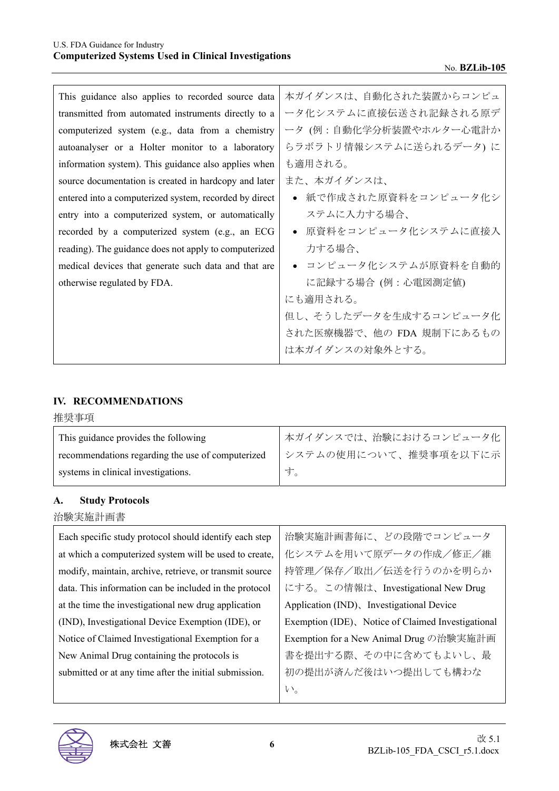| This guidance also applies to recorded source data     | 本ガイダンスは、自動化された装置からコンピュ   |
|--------------------------------------------------------|--------------------------|
| transmitted from automated instruments directly to a   | ータ化システムに直接伝送され記録される原デ    |
| computerized system (e.g., data from a chemistry       | ータ (例:自動化学分析装置やホルター心電計か  |
| autoanalyser or a Holter monitor to a laboratory       | らラボラトリ情報システムに送られるデータ)に   |
| information system). This guidance also applies when   | も適用される。                  |
| source documentation is created in hardcopy and later  | また、本ガイダンスは、              |
| entered into a computerized system, recorded by direct | ● 紙で作成された原資料をコンピュータ化シ    |
| entry into a computerized system, or automatically     | ステムに入力する場合、              |
| recorded by a computerized system (e.g., an ECG        | ● 原資料をコンピュータ化システムに直接入    |
| reading). The guidance does not apply to computerized  | 力する場合、                   |
| medical devices that generate such data and that are   | ● コンピュータ化システムが原資料を自動的    |
| otherwise regulated by FDA.                            | に記録する場合 (例:心電図測定値)       |
|                                                        | にも適用される。                 |
|                                                        | 但し、そうしたデータを生成するコンピュータ化   |
|                                                        | された医療機器で、他の FDA 規制下にあるもの |
|                                                        | は本ガイダンスの対象外とする。          |
|                                                        |                          |

## **IV. RECOMMENDATIONS**

推奨事項

| This guidance provides the following              | 本ガイダンスでは、治験におけるコンピュータ化 |
|---------------------------------------------------|------------------------|
| recommendations regarding the use of computerized | システムの使用について、推奨事項を以下に示  |
| systems in clinical investigations.               |                        |

#### **A. Study Protocols**

治験実施計画書

| Each specific study protocol should identify each step  | 治験実施計画書毎に、どの段階でコンピュータ                              |
|---------------------------------------------------------|----------------------------------------------------|
| at which a computerized system will be used to create,  | 化システムを用いて原データの作成/修正/維                              |
| modify, maintain, archive, retrieve, or transmit source | 持管理/保存/取出/伝送を行うのかを明らか                              |
| data. This information can be included in the protocol  | にする。この情報は、Investigational New Drug                 |
| at the time the investigational new drug application    | Application (IND), Investigational Device          |
| (IND), Investigational Device Exemption (IDE), or       | Exemption (IDE), Notice of Claimed Investigational |
| Notice of Claimed Investigational Exemption for a       | Exemption for a New Animal Drug の治験実施計画            |
| New Animal Drug containing the protocols is             | 書を提出する際、その中に含めてもよいし、最                              |
| submitted or at any time after the initial submission.  | 初の提出が済んだ後はいつ提出しても構わな                               |
|                                                         | $V_{o}$                                            |

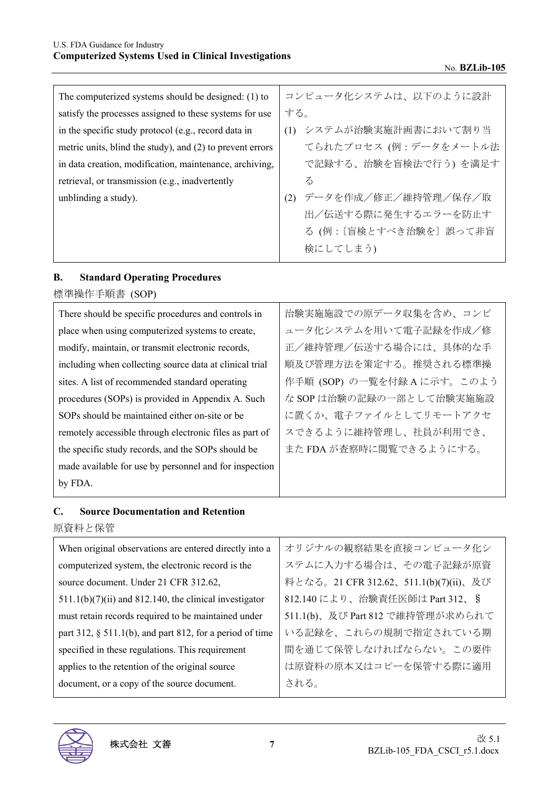| The computerized systems should be designed: (1) to       | コンピュータ化システムは、以下のように設計        |
|-----------------------------------------------------------|------------------------------|
| satisfy the processes assigned to these systems for use   | する。                          |
| in the specific study protocol (e.g., record data in      | (1) システムが治験実施計画書において割り当      |
| metric units, blind the study), and (2) to prevent errors | てられたプロセス (例:データをメートル法        |
| in data creation, modification, maintenance, archiving,   | で記録する、治験を盲検法で行う)を満足す         |
| retrieval, or transmission (e.g., inadvertently           | $\zeta$                      |
| unblinding a study).                                      | - データを作成/修正/維持管理/保存/取<br>(2) |
|                                                           | 出/伝送する際に発生するエラーを防止す          |
|                                                           | る(例:〔盲検とすべき治験を〕誤って非盲         |
|                                                           | 検にしてしまう)                     |

# **B. Standard Operating Procedures**

標準操作手順書 (SOP)

| There should be specific procedures and controls in     | 治験実施施設での原データ収集を含め、コンピ     |
|---------------------------------------------------------|---------------------------|
| place when using computerized systems to create,        | ュータ化システムを用いて電子記録を作成/修     |
| modify, maintain, or transmit electronic records,       | 正/維持管理/伝送する場合には、具体的な手     |
| including when collecting source data at clinical trial | 順及び管理方法を策定する。推奨される標準操     |
| sites. A list of recommended standard operating         | 作手順 (SOP) の一覧を付録Aに示す。このよう |
| procedures (SOPs) is provided in Appendix A. Such       | な SOP は治験の記録の一部として治験実施施設  |
| SOPs should be maintained either on-site or be.         | に置くか、電子ファイルとしてリモートアクセ     |
| remotely accessible through electronic files as part of | スできるように維持管理し、社員が利用でき、     |
| the specific study records, and the SOPs should be      | また FDA が査察時に閲覧できるようにする。   |
| made available for use by personnel and for inspection  |                           |
| by FDA.                                                 |                           |
|                                                         |                           |

# **C. Source Documentation and Retention**

原資料と保管

| オリジナルの観察結果を直接コンピュータ化シ                 |
|---------------------------------------|
| ステムに入力する場合は、その電子記録が原資                 |
| 料となる。21 CFR 312.62、511.1(b)(7)(ii)、及び |
| 812.140 により、治験責任医師は Part 312、§        |
| 511.1(b)、及び Part 812 で維持管理が求められて      |
| いる記録を、これらの規制で指定されている期                 |
| 間を通じて保管しなければならない。この要件                 |
| は原資料の原本又はコピーを保管する際に適用                 |
| される。                                  |
|                                       |

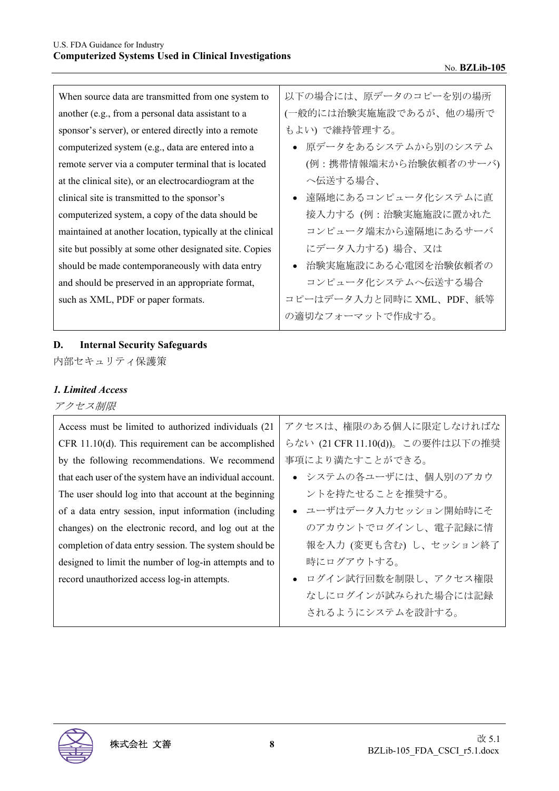| When source data are transmitted from one system to       | 以下の場合には、原データのコピーを別の場所    |
|-----------------------------------------------------------|--------------------------|
| another (e.g., from a personal data assistant to a        | (一般的には治験実施施設であるが、他の場所で   |
| sponsor's server), or entered directly into a remote      | もよい)で維持管理する。             |
| computerized system (e.g., data are entered into a        | ● 原データをあるシステムから別のシステム    |
| remote server via a computer terminal that is located     | (例:携帯情報端末から治験依頼者のサーバ)    |
| at the clinical site), or an electrocardiogram at the     | へ伝送する場合、                 |
| clinical site is transmitted to the sponsor's             | 遠隔地にあるコンピュータ化システムに直      |
| computerized system, a copy of the data should be         | 接入力する (例:治験実施施設に置かれた     |
| maintained at another location, typically at the clinical | コンピュータ端末から遠隔地にあるサーバ      |
| site but possibly at some other designated site. Copies   | にデータ入力する) 場合、又は          |
| should be made contemporaneously with data entry          | ● 治験実施施設にある心電図を治験依頼者の    |
| and should be preserved in an appropriate format,         | コンピュータ化システムへ伝送する場合       |
| such as XML, PDF or paper formats.                        | コピーはデータ入力と同時に XML、PDF、紙等 |
|                                                           | の適切なフォーマットで作成する。         |

# **D. Internal Security Safeguards**

内部セキュリティ保護策

# *1. Limited Access*

#### アクセス制限

| Access must be limited to authorized individuals (21)    | アクセスは、権限のある個人に限定しなければな           |
|----------------------------------------------------------|----------------------------------|
| CFR $11.10(d)$ . This requirement can be accomplished    | らない (21 CFR 11.10(d))。この要件は以下の推奨 |
| by the following recommendations. We recommend           | 事項により満たすことができる。                  |
| that each user of the system have an individual account. | • システムの各ユーザには、個人別のアカウ            |
| The user should log into that account at the beginning   | ントを持たせることを推奨する。                  |
| of a data entry session, input information (including    | ● ユーザはデータ入力セッション開始時にそ            |
| changes) on the electronic record, and log out at the    | のアカウントでログインし、電子記録に情              |
| completion of data entry session. The system should be   | 報を入力 (変更も含む) し、セッション終了           |
| designed to limit the number of log-in attempts and to   | 時にログアウトする。                       |
| record unauthorized access log-in attempts.              | ● ログイン試行回数を制限し、アクセス権限            |
|                                                          | なしにログインが試みられた場合には記録              |
|                                                          | されるようにシステムを設計する。                 |

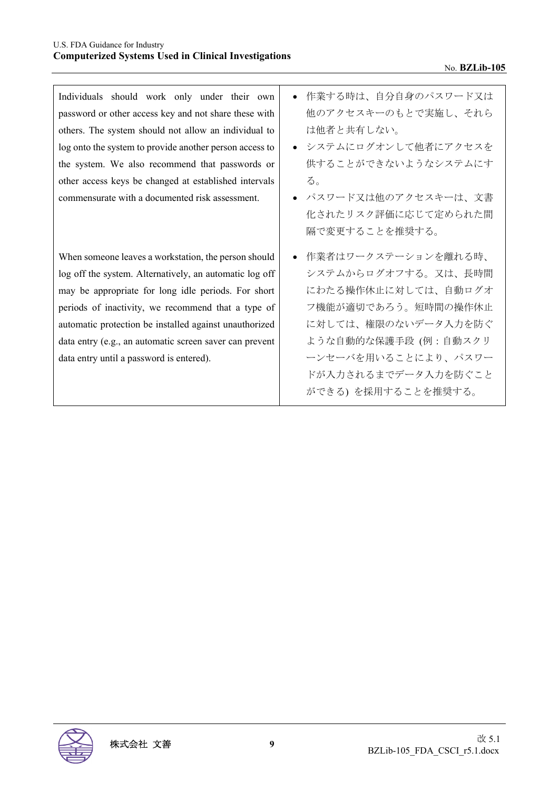Individuals should work only under their own password or other access key and not share these with others. The system should not allow an individual to log onto the system to provide another person access to the system. We also recommend that passwords or other access keys be changed at established intervals commensurate with a documented risk assessment.

When someone leaves a workstation, the person should log off the system. Alternatively, an automatic log off may be appropriate for long idle periods. For short periods of inactivity, we recommend that a type of automatic protection be installed against unauthorized data entry (e.g., an automatic screen saver can prevent data entry until a password is entered).

- 作業する時は、自分自身のパスワード又は 他のアクセスキーのもとで実施し、それら は他者と共有しない。
- システムにログオンして他者にアクセスを 供することができないようなシステムにす る。
- パスワード又は他のアクセスキーは、文書 化されたリスク評価に応じて定められた間 隔で変更することを推奨する。
- 作業者はワークステーションを離れる時、 システムからログオフする。又は、長時間 にわたる操作休止に対しては、自動ログオ フ機能が適切であろう。短時間の操作休止 に対しては、権限のないデータ入力を防ぐ ような自動的な保護手段 (例:自動スクリ ーンセーバを用いることにより、パスワー ドが入力されるまでデータ入力を防ぐこと ができる) を採用することを推奨する。

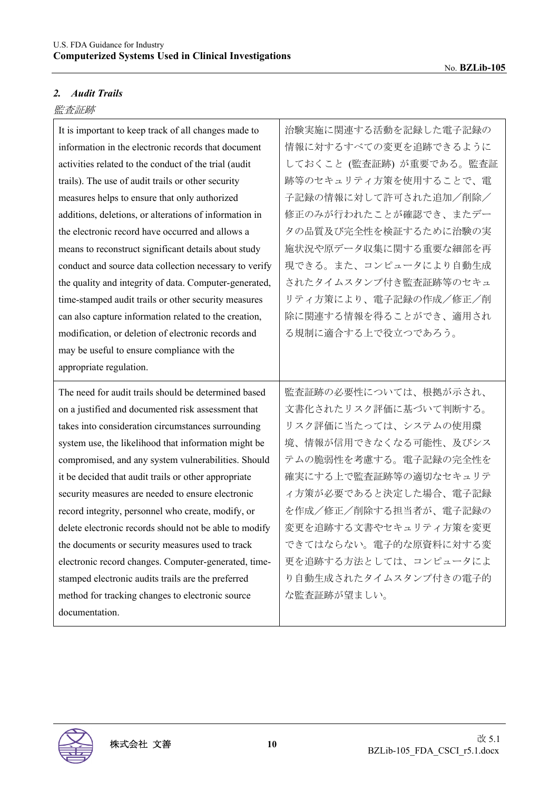# *2. Audit Trails*

# 監査証跡

| It is important to keep track of all changes made to   | 治験実施に関連する活動を記録した電子記録の    |
|--------------------------------------------------------|--------------------------|
| information in the electronic records that document    | 情報に対するすべての変更を追跡できるように    |
| activities related to the conduct of the trial (audit  | しておくこと (監査証跡) が重要である。監査証 |
| trails). The use of audit trails or other security     | 跡等のセキュリティ方策を使用することで、電    |
| measures helps to ensure that only authorized          | 子記録の情報に対して許可された追加/削除/    |
| additions, deletions, or alterations of information in | 修正のみが行われたことが確認でき、またデー    |
| the electronic record have occurred and allows a       | タの品質及び完全性を検証するために治験の実    |
| means to reconstruct significant details about study   | 施状況や原データ収集に関する重要な細部を再    |
| conduct and source data collection necessary to verify | 現できる。また、コンピュータにより自動生成    |
| the quality and integrity of data. Computer-generated, | されたタイムスタンプ付き監査証跡等のセキュ    |
| time-stamped audit trails or other security measures   | リティ方策により、電子記録の作成/修正/削    |
| can also capture information related to the creation,  | 除に関連する情報を得ることができ、適用され    |
| modification, or deletion of electronic records and    | る規制に適合する上で役立つであろう。       |
| may be useful to ensure compliance with the            |                          |
| appropriate regulation.                                |                          |
|                                                        |                          |
| The need for audit trails should be determined based   | 監査証跡の必要性については、根拠が示され、    |
| on a justified and documented risk assessment that     | 文書化されたリスク評価に基づいて判断する。    |
| takes into consideration circumstances surrounding     | リスク評価に当たっては、システムの使用環     |
| system use, the likelihood that information might be   | 境、情報が信用できなくなる可能性、及びシス    |
| compromised, and any system vulnerabilities. Should    | テムの脆弱性を考慮する。電子記録の完全性を    |
| it be decided that audit trails or other appropriate   | 確実にする上で監査証跡等の適切なセキュリテ    |
| security measures are needed to ensure electronic      | イ方策が必要であると決定した場合、電子記録    |
| record integrity, personnel who create, modify, or     | を作成/修正/削除する担当者が、電子記録の    |
| delete electronic records should not be able to modify | 変更を追跡する文書やセキュリティ方策を変更    |
| the documents or security measures used to track       | できてはならない。電子的な原資料に対する変    |
| electronic record changes. Computer-generated, time-   | 更を追跡する方法としては、コンピュータによ    |
| stamped electronic audits trails are the preferred     | り自動生成されたタイムスタンプ付きの電子的    |
| method for tracking changes to electronic source       | な監査証跡が望ましい。              |

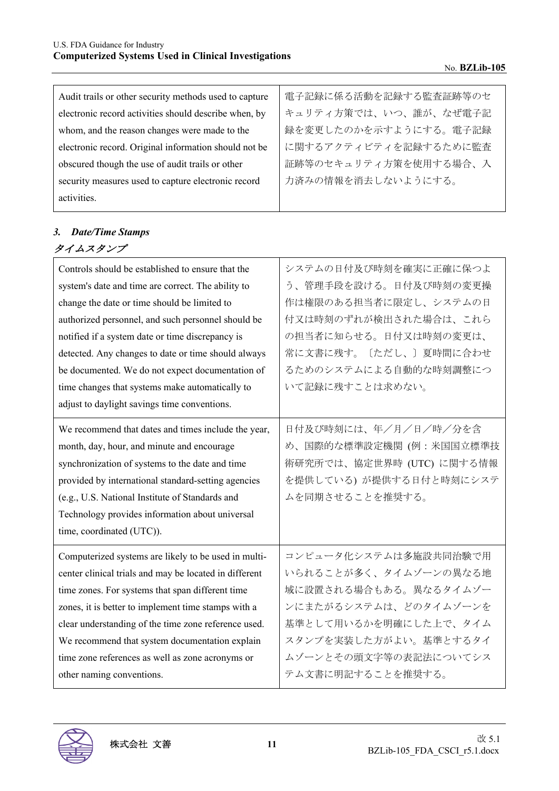| Audit trails or other security methods used to capture | 電子記録に係る活動を記録する監査証跡等のセ |
|--------------------------------------------------------|-----------------------|
| electronic record activities should describe when, by  | キュリティ方策では、いつ、誰が、なぜ電子記 |
| whom, and the reason changes were made to the          | 録を変更したのかを示すようにする。電子記録 |
| electronic record. Original information should not be  | に関するアクティビティを記録するために監査 |
| obscured though the use of audit trails or other       | 証跡等のセキュリティ方策を使用する場合、入 |
| security measures used to capture electronic record    | 力済みの情報を消去しないようにする。    |
| activities.                                            |                       |

# *3. Date/Time Stamps*  タイムスタンプ

| Controls should be established to ensure that the      | システムの日付及び時刻を確実に正確に保つよ     |
|--------------------------------------------------------|---------------------------|
| system's date and time are correct. The ability to     | う、管理手段を設ける。日付及び時刻の変更操     |
| change the date or time should be limited to           | 作は権限のある担当者に限定し、システムの日     |
| authorized personnel, and such personnel should be     | 付又は時刻のずれが検出された場合は、これら     |
| notified if a system date or time discrepancy is       | の担当者に知らせる。日付又は時刻の変更は、     |
| detected. Any changes to date or time should always    | 常に文書に残す。〔ただし、〕夏時間に合わせ     |
| be documented. We do not expect documentation of       | るためのシステムによる自動的な時刻調整につ     |
| time changes that systems make automatically to        | いて記録に残すことは求めない。           |
| adjust to daylight savings time conventions.           |                           |
| We recommend that dates and times include the year,    | 日付及び時刻には、年/月/日/時/分を含      |
| month, day, hour, and minute and encourage             | め、国際的な標準設定機関 (例:米国国立標準技   |
| synchronization of systems to the date and time        | 術研究所では、協定世界時 (UTC) に関する情報 |
| provided by international standard-setting agencies    | を提供している)が提供する日付と時刻にシステ    |
| (e.g., U.S. National Institute of Standards and        | ムを同期させることを推奨する。           |
| Technology provides information about universal        |                           |
| time, coordinated (UTC)).                              |                           |
| Computerized systems are likely to be used in multi-   | コンピュータ化システムは多施設共同治験で用     |
| center clinical trials and may be located in different | いられることが多く、タイムゾーンの異なる地     |
| time zones. For systems that span different time       | 域に設置される場合もある。異なるタイムゾー     |
| zones, it is better to implement time stamps with a    | ンにまたがるシステムは、どのタイムゾーンを     |
| clear understanding of the time zone reference used.   | 基準として用いるかを明確にした上で、タイム     |
| We recommend that system documentation explain         | スタンプを実装した方がよい。基準とするタイ     |
| time zone references as well as zone acronyms or       | ムゾーンとその頭文字等の表記法についてシス     |
| other naming conventions.                              | テム文書に明記することを推奨する。         |
|                                                        |                           |

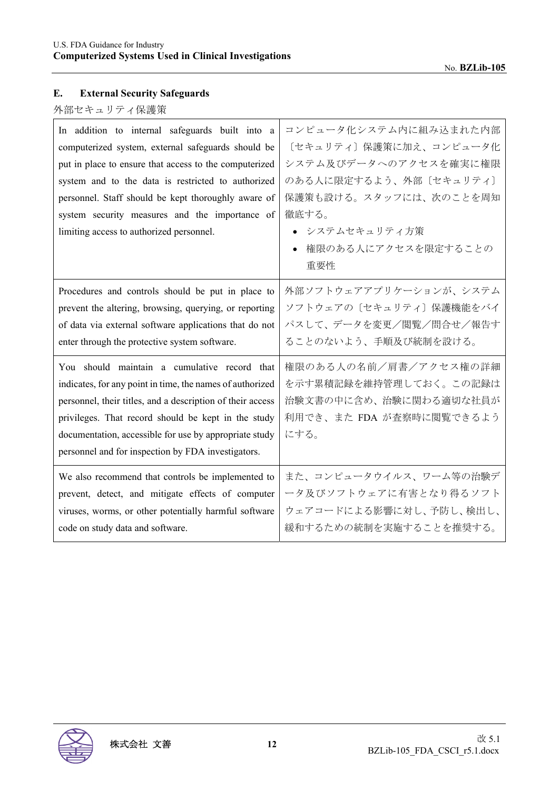# **E. External Security Safeguards**

# 外部セキュリティ保護策

| In addition to internal safeguards built into a<br>computerized system, external safeguards should be<br>put in place to ensure that access to the computerized<br>system and to the data is restricted to authorized<br>personnel. Staff should be kept thoroughly aware of<br>system security measures and the importance of<br>limiting access to authorized personnel. | コンピュータ化システム内に組み込まれた内部<br>[セキュリティ] 保護策に加え、コンピュータ化<br>システム及びデータへのアクセスを確実に権限<br>のある人に限定するよう、外部〔セキュリティ〕<br>保護策も設ける。スタッフには、次のことを周知<br>徹底する。<br>● システムセキュリティ方策<br>権限のある人にアクセスを限定することの<br>重要性 |
|----------------------------------------------------------------------------------------------------------------------------------------------------------------------------------------------------------------------------------------------------------------------------------------------------------------------------------------------------------------------------|----------------------------------------------------------------------------------------------------------------------------------------------------------------------------------------|
| Procedures and controls should be put in place to                                                                                                                                                                                                                                                                                                                          | 外部ソフトウェアアプリケーションが、システム                                                                                                                                                                 |
| prevent the altering, browsing, querying, or reporting                                                                                                                                                                                                                                                                                                                     | ソフトウェアの〔セキュリティ〕保護機能をバイ                                                                                                                                                                 |
| of data via external software applications that do not                                                                                                                                                                                                                                                                                                                     | パスして、データを変更/閲覧/問合せ/報告す                                                                                                                                                                 |
| enter through the protective system software.                                                                                                                                                                                                                                                                                                                              | ることのないよう、手順及び統制を設ける。                                                                                                                                                                   |
| You should maintain a cumulative record that<br>indicates, for any point in time, the names of authorized<br>personnel, their titles, and a description of their access<br>privileges. That record should be kept in the study<br>documentation, accessible for use by appropriate study<br>personnel and for inspection by FDA investigators.                             | 権限のある人の名前/肩書/アクセス権の詳細<br>を示す累積記録を維持管理しておく。この記録は<br>治験文書の中に含め、治験に関わる適切な社員が<br>利用でき、また FDA が査察時に閲覧できるよう<br>にする。                                                                          |
| We also recommend that controls be implemented to                                                                                                                                                                                                                                                                                                                          | また、コンピュータウイルス、ワーム等の治験デ                                                                                                                                                                 |
| prevent, detect, and mitigate effects of computer                                                                                                                                                                                                                                                                                                                          | ータ及びソフトウェアに有害となり得るソフト                                                                                                                                                                  |
| viruses, worms, or other potentially harmful software                                                                                                                                                                                                                                                                                                                      | ウェアコードによる影響に対し、予防し、検出し、                                                                                                                                                                |
| code on study data and software.                                                                                                                                                                                                                                                                                                                                           | 緩和するための統制を実施することを推奨する。                                                                                                                                                                 |

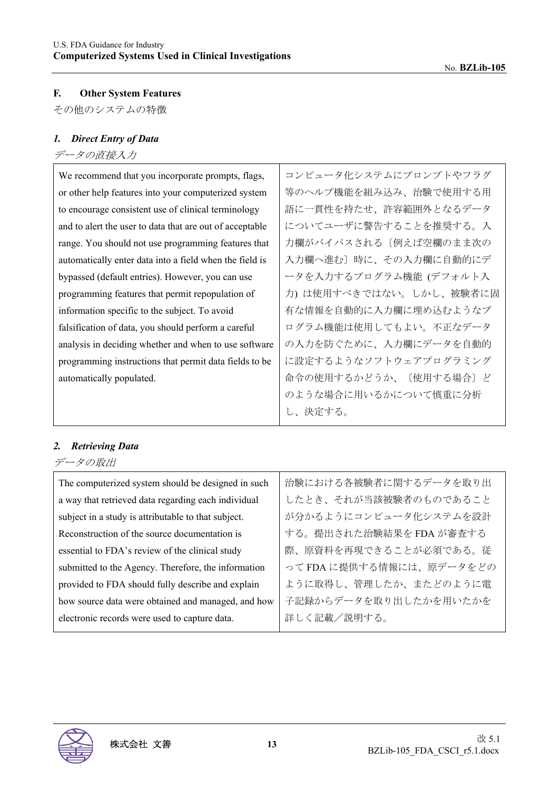# **F. Other System Features**

その他のシステムの特徴

# *1. Direct Entry of Data*

# データの直接入力

| We recommend that you incorporate prompts, flags,        | コンピュータ化システムにプロンプトやフラグ   |
|----------------------------------------------------------|-------------------------|
| or other help features into your computerized system     | 等のヘルプ機能を組み込み、治験で使用する用   |
| to encourage consistent use of clinical terminology      | 語に一貫性を持たせ、許容範囲外となるデータ   |
| and to alert the user to data that are out of acceptable | についてユーザに警告することを推奨する。入   |
| range. You should not use programming features that      | 力欄がバイパスされる〔例えば空欄のまま次の   |
| automatically enter data into a field when the field is  | 入力欄へ進む〕時に、その入力欄に自動的にデ   |
| bypassed (default entries). However, you can use         | ータを入力するプログラム機能 (デフォルト入  |
| programming features that permit repopulation of         | 力) は使用すべきではない。しかし、被験者に固 |
| information specific to the subject. To avoid            | 有な情報を自動的に入力欄に埋め込むようなプ   |
| falsification of data, you should perform a careful      | ログラム機能は使用してもよい。不正なデータ   |
| analysis in deciding whether and when to use software    | の入力を防ぐために、入力欄にデータを自動的   |
| programming instructions that permit data fields to be   | に設定するようなソフトウェアプログラミング   |
| automatically populated.                                 | 命令の使用するかどうか、〔使用する場合〕ど   |
|                                                          | のような場合に用いるかについて慎重に分析    |
|                                                          | し、決定する。                 |

#### *2. Retrieving Data*

データの取出

| The computerized system should be designed in such  | 治験における各被験者に関するデータを取り出    |
|-----------------------------------------------------|--------------------------|
| a way that retrieved data regarding each individual | したとき、それが当該被験者のものであること    |
| subject in a study is attributable to that subject. | が分かるようにコンピュータ化システムを設計    |
| Reconstruction of the source documentation is       | する。提出された治験結果を FDA が審査する  |
| essential to FDA's review of the clinical study     | 際、原資料を再現できることが必須である。従    |
| submitted to the Agency. Therefore, the information | って FDA に提供する情報には、原データをどの |
| provided to FDA should fully describe and explain   | ように取得し、管理したか、またどのように電    |
| how source data were obtained and managed, and how  | 子記録からデータを取り出したかを用いたかを    |
| electronic records were used to capture data.       | 詳しく記載/説明する。              |
|                                                     |                          |

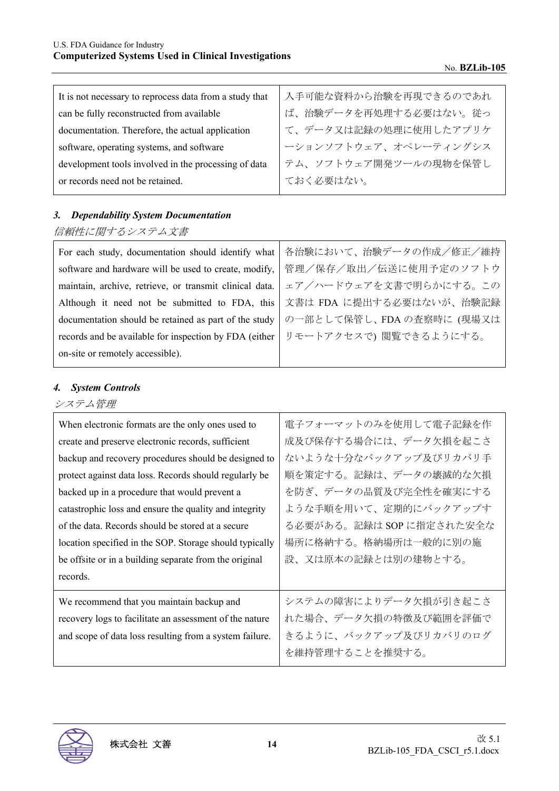| It is not necessary to reprocess data from a study that | 入手可能な資料から治験を再現できるのであれ |
|---------------------------------------------------------|-----------------------|
| can be fully reconstructed from available               | ば、治験データを再処理する必要はない。従っ |
| documentation. Therefore, the actual application        | て、データ又は記録の処理に使用したアプリケ |
| software, operating systems, and software               | ーションソフトウェア、オペレーティングシス |
| development tools involved in the processing of data    | テム、ソフトウェア開発ツールの現物を保管し |
| or records need not be retained.                        | ておく必要はない。             |

# *3. Dependability System Documentation*

# 信頼性に関するシステム文書

| For each study, documentation should identify what      | 各治験において、治験データの作成/修正/維持   |
|---------------------------------------------------------|--------------------------|
| software and hardware will be used to create, modify,   | 管理/保存/取出/伝送に使用予定のソフトウ    |
| maintain, archive, retrieve, or transmit clinical data. | ェア/ハードウェアを文書で明らかにする。この   |
| Although it need not be submitted to FDA, this          | 文書は FDA に提出する必要はないが、治験記録 |
| documentation should be retained as part of the study   | の一部として保管し、FDAの査察時に(現場又は  |
| records and be available for inspection by FDA (either) | リモートアクセスで)閲覧できるようにする。    |
| on-site or remotely accessible).                        |                          |

## *4. System Controls*

# システム管理

| When electronic formats are the only ones used to       | 電子フォーマットのみを使用して電子記録を作    |
|---------------------------------------------------------|--------------------------|
| create and preserve electronic records, sufficient      | 成及び保存する場合には、データ欠損を起こさ    |
| backup and recovery procedures should be designed to    | ないような十分なバックアップ及びリカバリ手    |
| protect against data loss. Records should regularly be  | 順を策定する。記録は、データの壊滅的な欠損    |
| backed up in a procedure that would prevent a           | を防ぎ、データの品質及び完全性を確実にする    |
| catastrophic loss and ensure the quality and integrity  | ような手順を用いて、定期的にバックアップす    |
| of the data. Records should be stored at a secure       | る必要がある。記録は SOP に指定された安全な |
| location specified in the SOP. Storage should typically | 場所に格納する。格納場所は一般的に別の施     |
| be offsite or in a building separate from the original  | 設、又は原本の記録とは別の建物とする。      |
| records.                                                |                          |
| We recommend that you maintain backup and               | システムの障害によりデータ欠損が引き起こさ    |
| recovery logs to facilitate an assessment of the nature | れた場合、データ欠損の特徴及び範囲を評価で    |
| and scope of data loss resulting from a system failure. | きるように、バックアップ及びリカバリのログ    |
|                                                         | を維持管理することを推奨する。          |

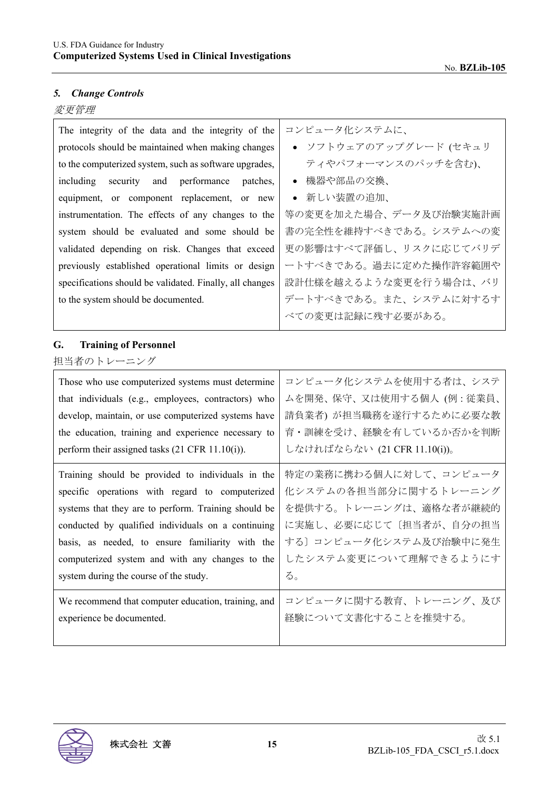# *5. Change Controls*

# 変更管理

| The integrity of the data and the integrity of the<br>protocols should be maintained when making changes<br>to the computerized system, such as software upgrades,<br>security<br>performance<br>including<br>and<br>patches,<br>equipment, or component replacement, or new<br>instrumentation. The effects of any changes to the<br>system should be evaluated and some should be<br>validated depending on risk. Changes that exceed<br>previously established operational limits or design<br>specifications should be validated. Finally, all changes<br>to the system should be documented. | コンピュータ化システムに、<br>• ソフトウェアのアップグレード (セキュリ<br>ティやパフォーマンスのパッチを含む)、<br>機器や部品の交換、<br>• 新しい装置の追加、<br>等の変更を加えた場合、データ及び治験実施計画<br>書の完全性を維持すべきである。システムへの変<br>更の影響はすべて評価し、リスクに応じてバリデ<br>ートすべきである。過去に定めた操作許容範囲や<br>設計仕様を越えるような変更を行う場合は、バリ<br>デートすべきである。また、システムに対するす<br>べての変更は記録に残す必要がある。 |
|---------------------------------------------------------------------------------------------------------------------------------------------------------------------------------------------------------------------------------------------------------------------------------------------------------------------------------------------------------------------------------------------------------------------------------------------------------------------------------------------------------------------------------------------------------------------------------------------------|-----------------------------------------------------------------------------------------------------------------------------------------------------------------------------------------------------------------------------------------------------------------------------|
| <b>Training of Personnel</b><br>G.<br>担当者のトレーニング                                                                                                                                                                                                                                                                                                                                                                                                                                                                                                                                                  |                                                                                                                                                                                                                                                                             |
| Those who use computerized systems must determine                                                                                                                                                                                                                                                                                                                                                                                                                                                                                                                                                 | コンピュータ化システムを使用する者は、システ                                                                                                                                                                                                                                                      |
| that individuals (e.g., employees, contractors) who                                                                                                                                                                                                                                                                                                                                                                                                                                                                                                                                               | ムを開発、保守、又は使用する個人 (例: 従業員、                                                                                                                                                                                                                                                   |
| develop, maintain, or use computerized systems have                                                                                                                                                                                                                                                                                                                                                                                                                                                                                                                                               | 請負業者) が担当職務を遂行するために必要な教                                                                                                                                                                                                                                                     |
| the education, training and experience necessary to                                                                                                                                                                                                                                                                                                                                                                                                                                                                                                                                               | 育・訓練を受け、経験を有しているか否かを判断                                                                                                                                                                                                                                                      |
| perform their assigned tasks (21 CFR 11.10(i)).                                                                                                                                                                                                                                                                                                                                                                                                                                                                                                                                                   | しなければならない (21 CFR 11.10(i))。                                                                                                                                                                                                                                                |
| Training should be provided to individuals in the                                                                                                                                                                                                                                                                                                                                                                                                                                                                                                                                                 | 特定の業務に携わる個人に対して、コンピュータ                                                                                                                                                                                                                                                      |
| specific operations with regard to computerized                                                                                                                                                                                                                                                                                                                                                                                                                                                                                                                                                   | 化システムの各担当部分に関するトレーニング                                                                                                                                                                                                                                                       |
| systems that they are to perform. Training should be                                                                                                                                                                                                                                                                                                                                                                                                                                                                                                                                              | を提供する。トレーニングは、適格な者が継続的                                                                                                                                                                                                                                                      |
| conducted by qualified individuals on a continuing                                                                                                                                                                                                                                                                                                                                                                                                                                                                                                                                                | に実施し、必要に応じて〔担当者が、自分の担当                                                                                                                                                                                                                                                      |
| basis, as needed, to ensure familiarity with the                                                                                                                                                                                                                                                                                                                                                                                                                                                                                                                                                  | する〕コンピュータ化システム及び治験中に発生                                                                                                                                                                                                                                                      |
| computerized system and with any changes to the                                                                                                                                                                                                                                                                                                                                                                                                                                                                                                                                                   | したシステム変更について理解できるようにす                                                                                                                                                                                                                                                       |
| system during the course of the study.                                                                                                                                                                                                                                                                                                                                                                                                                                                                                                                                                            | る。                                                                                                                                                                                                                                                                          |
| We recommend that computer education, training, and                                                                                                                                                                                                                                                                                                                                                                                                                                                                                                                                               | コンピュータに関する教育、トレーニング、及び                                                                                                                                                                                                                                                      |
| experience be documented.                                                                                                                                                                                                                                                                                                                                                                                                                                                                                                                                                                         | 経験について文書化することを推奨する。                                                                                                                                                                                                                                                         |

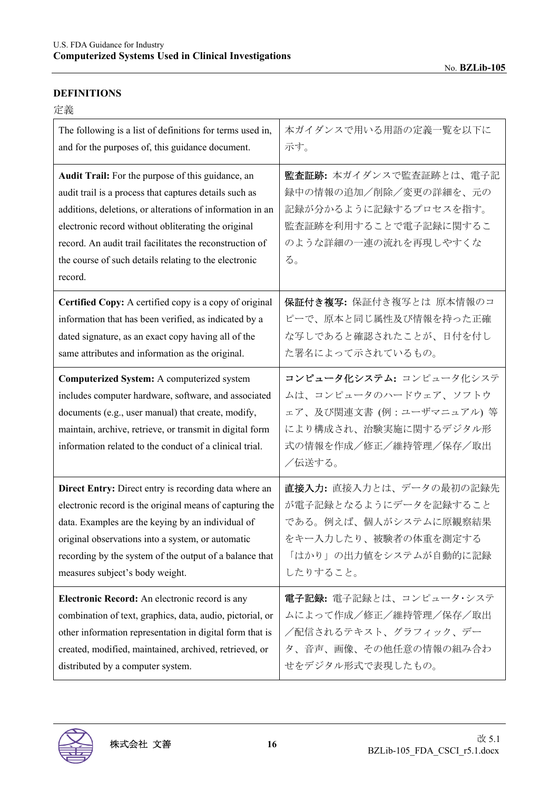#### **DEFINITIONS**

| The following is a list of definitions for terms used in,                                                                                                                                                                                                                                                                                                       | 本ガイダンスで用いる用語の定義一覧を以下に                                                                                                                  |
|-----------------------------------------------------------------------------------------------------------------------------------------------------------------------------------------------------------------------------------------------------------------------------------------------------------------------------------------------------------------|----------------------------------------------------------------------------------------------------------------------------------------|
| and for the purposes of, this guidance document.                                                                                                                                                                                                                                                                                                                | 示す。                                                                                                                                    |
| Audit Trail: For the purpose of this guidance, an<br>audit trail is a process that captures details such as<br>additions, deletions, or alterations of information in an<br>electronic record without obliterating the original<br>record. An audit trail facilitates the reconstruction of<br>the course of such details relating to the electronic<br>record. | 監査証跡: 本ガイダンスで監査証跡とは、電子記<br>録中の情報の追加/削除/変更の詳細を、元の<br>記録が分かるように記録するプロセスを指す。<br>監査証跡を利用することで電子記録に関するこ<br>のような詳細の一連の流れを再現しやすくな<br>る。       |
| Certified Copy: A certified copy is a copy of original                                                                                                                                                                                                                                                                                                          | 保証付き複写: 保証付き複写とは 原本情報のコ                                                                                                                |
| information that has been verified, as indicated by a                                                                                                                                                                                                                                                                                                           | ピーで、原本と同じ属性及び情報を持った正確                                                                                                                  |
| dated signature, as an exact copy having all of the                                                                                                                                                                                                                                                                                                             | な写しであると確認されたことが、日付を付し                                                                                                                  |
| same attributes and information as the original.                                                                                                                                                                                                                                                                                                                | た署名によって示されているもの。                                                                                                                       |
| Computerized System: A computerized system<br>includes computer hardware, software, and associated<br>documents (e.g., user manual) that create, modify,<br>maintain, archive, retrieve, or transmit in digital form<br>information related to the conduct of a clinical trial.                                                                                 | コンピュータ化システム: コンピュータ化システ<br>ムは、コンピュータのハードウェア、ソフトウ<br>ェア、及び関連文書(例:ユーザマニュアル)等<br>により構成され、治験実施に関するデジタル形<br>式の情報を作成/修正/維持管理/保存/取出<br>/伝送する。 |
| Direct Entry: Direct entry is recording data where an                                                                                                                                                                                                                                                                                                           | 直接入力:直接入力とは、データの最初の記録先                                                                                                                 |
| electronic record is the original means of capturing the                                                                                                                                                                                                                                                                                                        | が電子記録となるようにデータを記録すること                                                                                                                  |
| data. Examples are the keying by an individual of                                                                                                                                                                                                                                                                                                               | である。例えば、個人がシステムに原観察結果                                                                                                                  |
| original observations into a system, or automatic                                                                                                                                                                                                                                                                                                               | をキー入力したり、被験者の体重を測定する                                                                                                                   |
| recording by the system of the output of a balance that                                                                                                                                                                                                                                                                                                         | 「はかり」の出力値をシステムが自動的に記録                                                                                                                  |
| measures subject's body weight.                                                                                                                                                                                                                                                                                                                                 | したりすること。                                                                                                                               |
| Electronic Record: An electronic record is any                                                                                                                                                                                                                                                                                                                  | 電子記録:電子記録とは、コンピュータ・システ                                                                                                                 |
| combination of text, graphics, data, audio, pictorial, or                                                                                                                                                                                                                                                                                                       | ムによって作成/修正/維持管理/保存/取出                                                                                                                  |
| other information representation in digital form that is                                                                                                                                                                                                                                                                                                        | ╱配信されるテキスト、グラフィック、デー                                                                                                                   |
| created, modified, maintained, archived, retrieved, or                                                                                                                                                                                                                                                                                                          | タ、音声、画像、その他任意の情報の組み合わ                                                                                                                  |
| distributed by a computer system.                                                                                                                                                                                                                                                                                                                               | せをデジタル形式で表現したもの。                                                                                                                       |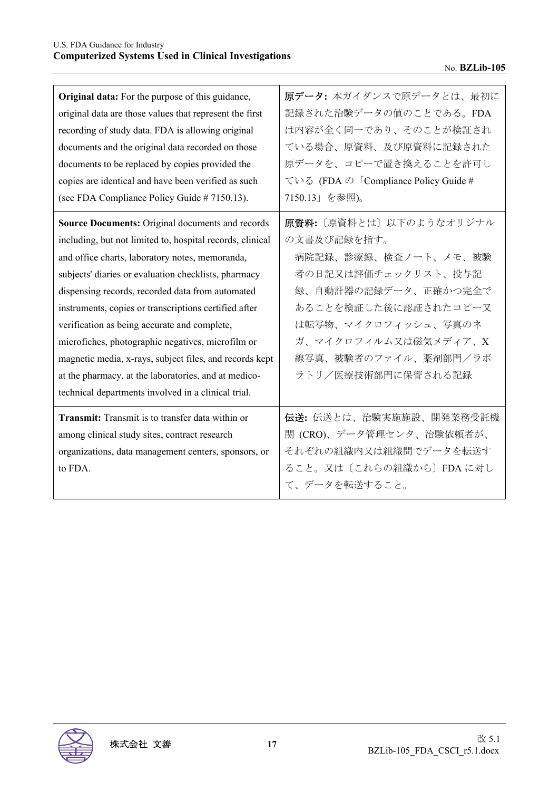| Original data: For the purpose of this guidance,<br>original data are those values that represent the first<br>recording of study data. FDA is allowing original<br>documents and the original data recorded on those<br>documents to be replaced by copies provided the<br>copies are identical and have been verified as such<br>(see FDA Compliance Policy Guide # 7150.13).                                                                                                                                                                                                                                             | 原データ: 本ガイダンスで原データとは、最初に<br>記録された治験データの値のことである。FDA<br>は内容が全く同一であり、そのことが検証され<br>ている場合、原資料、及び原資料に記録された<br>原データを、コピーで置き換えることを許可し<br>ている (FDA の「Compliance Policy Guide #<br>7150.13」を参照)。                                               |
|-----------------------------------------------------------------------------------------------------------------------------------------------------------------------------------------------------------------------------------------------------------------------------------------------------------------------------------------------------------------------------------------------------------------------------------------------------------------------------------------------------------------------------------------------------------------------------------------------------------------------------|-------------------------------------------------------------------------------------------------------------------------------------------------------------------------------------------------------------------------------------|
| <b>Source Documents: Original documents and records</b><br>including, but not limited to, hospital records, clinical<br>and office charts, laboratory notes, memoranda,<br>subjects' diaries or evaluation checklists, pharmacy<br>dispensing records, recorded data from automated<br>instruments, copies or transcriptions certified after<br>verification as being accurate and complete,<br>microfiches, photographic negatives, microfilm or<br>magnetic media, x-rays, subject files, and records kept<br>at the pharmacy, at the laboratories, and at medico-<br>technical departments involved in a clinical trial. | 原資料: [原資料とは] 以下のようなオリジナル<br>の文書及び記録を指す。<br>病院記録、診療録、検査ノート、メモ、被験<br>者の日記又は評価チェックリスト、投与記<br>録、自動計器の記録データ、正確かつ完全で<br>あることを検証した後に認証されたコピー又<br>は転写物、マイクロフィッシュ、写真のネ<br>ガ、マイクロフィルム又は磁気メディア、X<br>線写真、被験者のファイル、薬剤部門/ラボ<br>ラトリ/医療技術部門に保管される記録 |
| <b>Transmit:</b> Transmit is to transfer data within or<br>among clinical study sites, contract research<br>organizations, data management centers, sponsors, or<br>to FDA.                                                                                                                                                                                                                                                                                                                                                                                                                                                 | 伝送: 伝送とは、治験実施施設、開発業務受託機<br>関 (CRO)、データ管理センタ、治験依頼者が、<br>それぞれの組織内又は組織間でデータを転送す<br>ること。又は〔これらの組織から〕FDAに対し<br>て、データを転送すること。                                                                                                             |

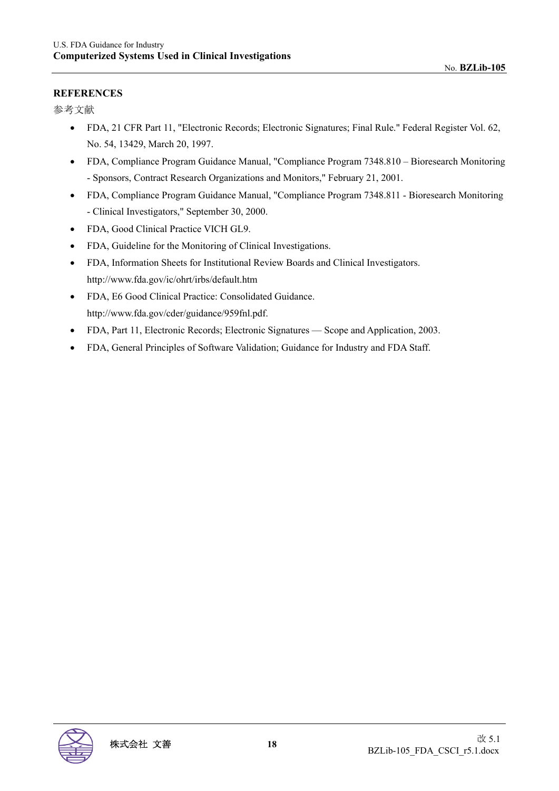### **REFERENCES**

参考文献

- FDA, 21 CFR Part 11, "Electronic Records; Electronic Signatures; Final Rule." Federal Register Vol. 62, No. 54, 13429, March 20, 1997.
- FDA, Compliance Program Guidance Manual, "Compliance Program 7348.810 Bioresearch Monitoring - Sponsors, Contract Research Organizations and Monitors," February 21, 2001.
- FDA, Compliance Program Guidance Manual, "Compliance Program 7348.811 Bioresearch Monitoring - Clinical Investigators," September 30, 2000.
- FDA, Good Clinical Practice VICH GL9.
- FDA, Guideline for the Monitoring of Clinical Investigations.
- FDA, Information Sheets for Institutional Review Boards and Clinical Investigators. http://www.fda.gov/ic/ohrt/irbs/default.htm
- FDA, E6 Good Clinical Practice: Consolidated Guidance. http://www.fda.gov/cder/guidance/959fnl.pdf.
- FDA, Part 11, Electronic Records; Electronic Signatures Scope and Application, 2003.
- FDA, General Principles of Software Validation; Guidance for Industry and FDA Staff.